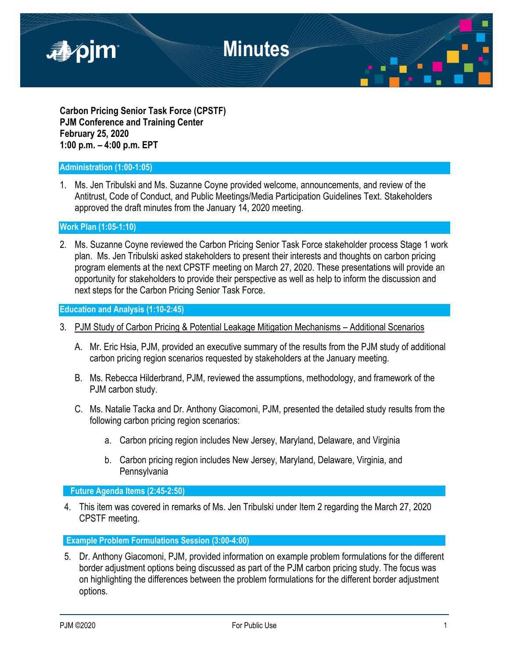

**Carbon Pricing Senior Task Force (CPSTF) PJM Conference and Training Center February 25, 2020 1:00 p.m. – 4:00 p.m. EPT**

### **Administration (1:00-1:05)**

1. Ms. Jen Tribulski and Ms. Suzanne Coyne provided welcome, announcements, and review of the Antitrust, Code of Conduct, and Public Meetings/Media Participation Guidelines Text. Stakeholders approved the draft minutes from the January 14, 2020 meeting.

**Work Plan (1:05-1:10)**

2. Ms. Suzanne Coyne reviewed the Carbon Pricing Senior Task Force stakeholder process Stage 1 work plan. Ms. Jen Tribulski asked stakeholders to present their interests and thoughts on carbon pricing program elements at the next CPSTF meeting on March 27, 2020. These presentations will provide an opportunity for stakeholders to provide their perspective as well as help to inform the discussion and next steps for the Carbon Pricing Senior Task Force.

**Education and Analysis (1:10-2:45)**

- 3. PJM Study of Carbon Pricing & Potential Leakage Mitigation Mechanisms Additional Scenarios
	- A. Mr. Eric Hsia, PJM, provided an executive summary of the results from the PJM study of additional carbon pricing region scenarios requested by stakeholders at the January meeting.
	- B. Ms. Rebecca Hilderbrand, PJM, reviewed the assumptions, methodology, and framework of the PJM carbon study.
	- C. Ms. Natalie Tacka and Dr. Anthony Giacomoni, PJM, presented the detailed study results from the following carbon pricing region scenarios:
		- a. Carbon pricing region includes New Jersey, Maryland, Delaware, and Virginia
		- b. Carbon pricing region includes New Jersey, Maryland, Delaware, Virginia, and Pennsylvania

**Future Agenda Items (2:45-2:50)**

4. This item was covered in remarks of Ms. Jen Tribulski under Item 2 regarding the March 27, 2020 CPSTF meeting.

**Example Problem Formulations Session (3:00-4:00)**

5. Dr. Anthony Giacomoni, PJM, provided information on example problem formulations for the different border adjustment options being discussed as part of the PJM carbon pricing study. The focus was on highlighting the differences between the problem formulations for the different border adjustment options.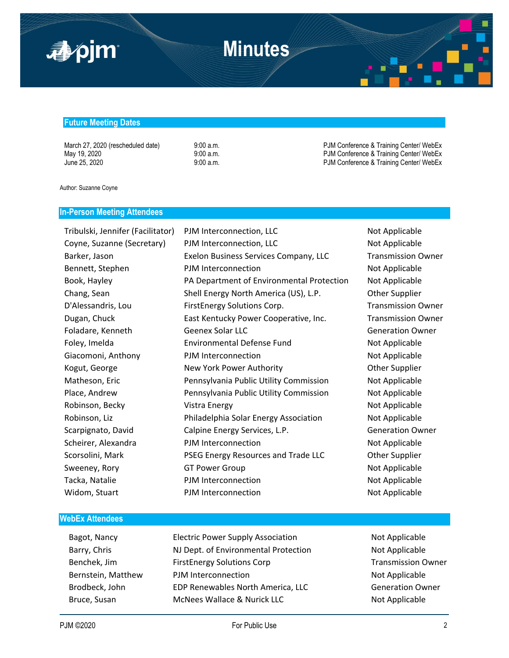

## **Minutes**

#### **Future Meeting Dates**

March 27, 2020 (rescheduled date) 9:00 a.m. 9:00 a.m. PJM Conference & Training Center/ WebEx May 19, 2020 **12:00 a.m.** 9:00 a.m. PJM Conference & Training Center/ WebEx June 25, 2020 **9:00 a.m.** 9:00 a.m. PJM Conference & Training Center/ WebEx

Author: Suzanne Coyne

### **In-Person Meeting Attendees**

Widom, Stuart **PJM Interconnection** and Mot Applicable

Tribulski, Jennifer (Facilitator) PJM Interconnection, LLC Not Applicable Coyne, Suzanne (Secretary) PJM Interconnection, LLC Not Applicable Barker, Jason **Exelon Business Services Company, LLC** Transmission Owner Bennett, Stephen **PJM Interconnection** and Mot Applicable Book, Hayley PA Department of Environmental Protection Not Applicable Chang, Sean Shell Energy North America (US), L.P. Other Supplier D'Alessandris, Lou FirstEnergy Solutions Corp. Transmission Owner Dugan, Chuck East Kentucky Power Cooperative, Inc. Transmission Owner Foladare, Kenneth **Geenex Solar LLC** Generation Owner Foley, Imelda **Environmental Defense Fund** Not Applicable Giacomoni, Anthony **PJM Interconnection** Not Applicable Kogut, George The New York Power Authority New York Power Authority Channel Authority Matheson, Eric Pennsylvania Public Utility Commission Not Applicable Place, Andrew **Pennsylvania Public Utility Commission** Not Applicable Robinson, Becky **Not Applicable** Vistra Energy Not Applicable Not Applicable Robinson, Liz **Edge Communist Philadelphia Solar Energy Association** Not Applicable Scarpignato, David Calpine Energy Services, L.P. Carpignator Generation Owner Scheirer, Alexandra **Notella PJM Interconnection** Not Applicable Scorsolini, Mark **PSEG Energy Resources and Trade LLC** Other Supplier Sweeney, Rory **GT Power Group COM** Not Applicable Tacka, Natalie **Notella and Applicable** PJM Interconnection Not Applicable

#### **WebEx Attendees**

Bagot, Nancy **Electric Power Supply Association** Not Applicable Barry, Chris **NJ Dept. of Environmental Protection** Not Applicable Benchek, Jim FirstEnergy Solutions Corp Transmission Owner Bernstein, Matthew PJM Interconnection Not Applicable Brodbeck, John **EDP Renewables North America, LLC** Generation Owner Bruce, Susan McNees Wallace & Nurick LLC Not Applicable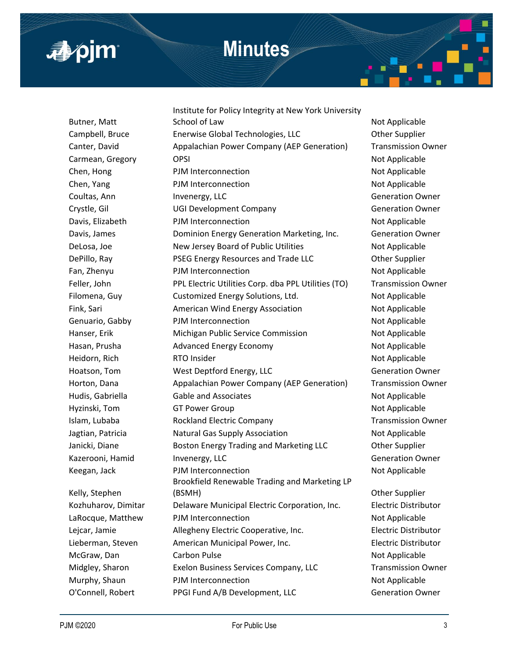

## **Minutes**

Butner, Matt Kelly, Stephen

Institute for Policy Integrity at New York University School of Law Not Applicable Campbell, Bruce Enerwise Global Technologies, LLC Other Supplier Canter, David Appalachian Power Company (AEP Generation) Transmission Owner Carmean, Gregory CPSI OPSI Not Applicable Chen, Hong **PJM Interconnection PIM Interconnection Not Applicable** Chen, Yang Note and PJM Interconnection Not Applicable Not Applicable Coultas, Ann **Invenergy, LLC** Coultas, Ann **Invenergy, LLC** Generation Owner Crystle, Gil **Calculate Company** Crystle, Gil Company Ceneration Owner Davis, Elizabeth **PJM Interconnection** and Not Applicable Davis, James Dominion Energy Generation Marketing, Inc. Generation Owner DeLosa, Joe **New Jersey Board of Public Utilities** Not Applicable DePillo, Ray PSEG Energy Resources and Trade LLC Other Supplier Fan, Zhenyu PJM Interconnection Not Applicable Feller, John **PPL Electric Utilities Corp. dba PPL Utilities (TO)** Transmission Owner Filomena, Guy Customized Energy Solutions, Ltd. Not Applicable Fink, Sari **American Wind Energy Association** Not Applicable Genuario, Gabby **PJM Interconnection** and Not Applicable Hanser, Erik **Michigan Public Service Commission** Not Applicable Hasan, Prusha **Advanced Energy Economy** Not Applicable Heidorn, Rich **RTO Insider** Not Applicable Hoatson, Tom **West Deptford Energy, LLC** Generation Owner Horton, Dana **Appalachian Power Company (AEP Generation)** Transmission Owner Hudis, Gabriella **Gable and Associates Not Applicable** Not Applicable Hyzinski, Tom GT Power Group Not Applicable Not Applicable Islam, Lubaba **Rockland Electric Company Rockland Electric Company** Transmission Owner Jagtian, Patricia **Natural Gas Supply Association** Not Applicable Janicki, Diane **Boston Energy Trading and Marketing LLC Charage Other Supplier** Kazerooni, Hamid Invenergy, LLC **Inventergy, LLC** Generation Owner Keegan, Jack **PJM Interconnection** Not Applicable Brookfield Renewable Trading and Marketing LP (BSMH) Other Supplier Kozhuharov, Dimitar Delaware Municipal Electric Corporation, Inc. Electric Distributor LaRocque, Matthew PJM Interconnection Not Applicable Lejcar, Jamie Allegheny Electric Cooperative, Inc. Electric Distributor Lieberman, Steven American Municipal Power, Inc. Electric Distributor McGraw, Dan Carbon Pulse Not Applicable Not Applicable Midgley, Sharon Exelon Business Services Company, LLC Transmission Owner Murphy, Shaun PJM Interconnection Not Applicable O'Connell, Robert PPGI Fund A/B Development, LLC Generation Owner